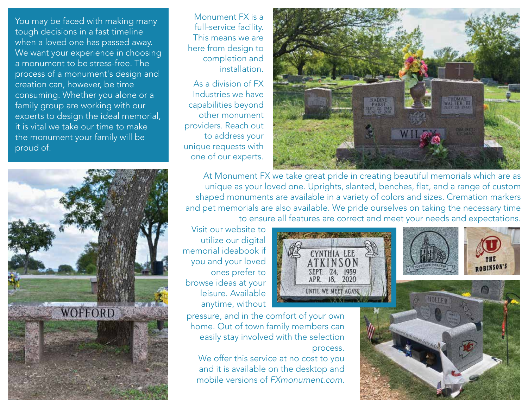



Monument FX is a full-service facility. This means we are here from design to completion and installation.

As a division of FX Industries we have capabilities beyond other monument providers. Reach out to address your unique requests with one of our experts.



At Monument FX we take great pride in creating beautiful memorials which are as unique as your loved one. Uprights, slanted, benches, flat, and a range of custom shaped monuments are available in a variety of colors and sizes. Cremation markers and pet memorials are also available. We pride ourselves on taking the necessary time to ensure all features are correct and meet your needs and expectations.

> **CYNTHIA** ATKINSON SEPT. 24, 1959 APR. 18, 2020 UNTIL WE MEET AGAN HOLLE

Visit our website to utilize our digital memorial ideabook if you and your loved ones prefer to browse ideas at your leisure. Available anytime, without

pressure, and in the comfort of your own home. Out of town family members can easily stay involved with the selection process.

We offer this service at no cost to you and it is available on the desktop and mobile versions of *FXmonument.com*.